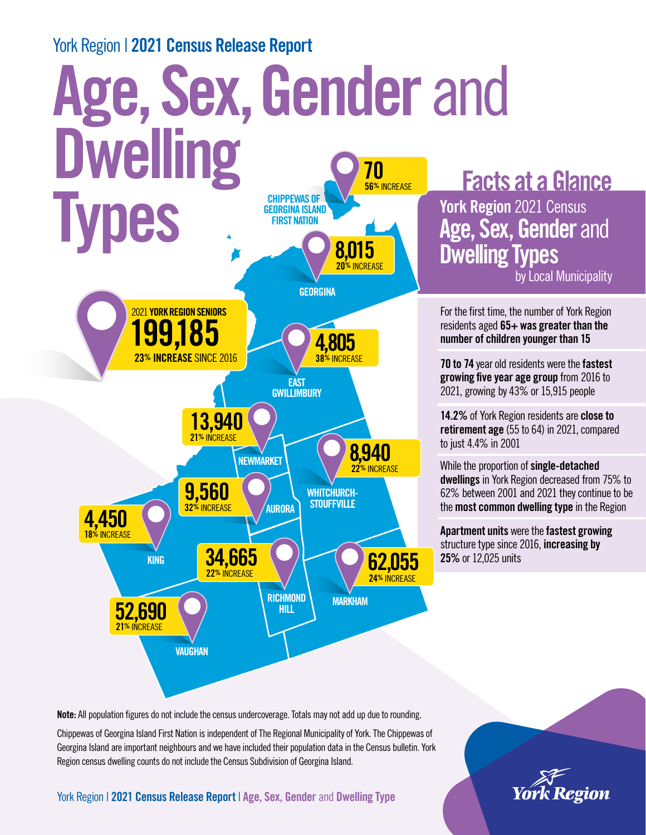#### York Region | 2021 Census Release Report

#### Age, Sex, Gender and **Dwelling TYPEWAS OF SEDREINA ISLAND** GEORGINA ISLAND FIRST NATION VAUGHAN MARKHAM WHITCHURCH-**STOUFFVILLE RICHMOND** HILL AURORA KING EAST **GWILLIMBURY GEORGINA NEWMARKET** 199,185 23% INCREASE SINCE 2016 2021 YORK REGION SENIORS 34,665 62,055 24% INCREASE 52,690 21% INCREASE 13,940 21% INCREASE 9,560 **32% INCREASE** 8,015 20<sup>%</sup> INCREASE 70 56% INCREASE 4,805 **38% INCREASE** 8,940 22<sup>%</sup> INCREASE 4,450 18<sup>%</sup> INCREASE to just 4.4% in 2001 25% or 12,025 units

Facts at a Glance

York Region 2021 Census Age, Sex, Gender and Dwelling Types

by Local Municipality

For the first time, the number of York Region residents aged  $65+$  was greater than the number of children younger than 15

70 to 74 year old residents were the fastest growing five year age group from 2016 to 2021, growing by 43% or 15,915 people

14.2% of York Region residents are **close to** retirement age (55 to 64) in 2021, compared

While the proportion of single-detached dwellings in York Region decreased from 75% to 62% between 2001 and 2021 they continue to be the most common dwelling type in the Region

Apartment units were the fastest growing structure type since 2016, **increasing by** 

Note: All population figures do not include the census undercoverage. Totals may not add up due to rounding.

Chippewas of Georgina Island First Nation is independent of The Regional Municipality of York. The Chippewas of Georgina Island are important neighbours and we have included their population data in the Census bulletin. York Region census dwelling counts do not include the Census Subdivision of Georgina Island.

York Region | 2021 Census Release Report | Age, Sex, Gender and Dwelling Type

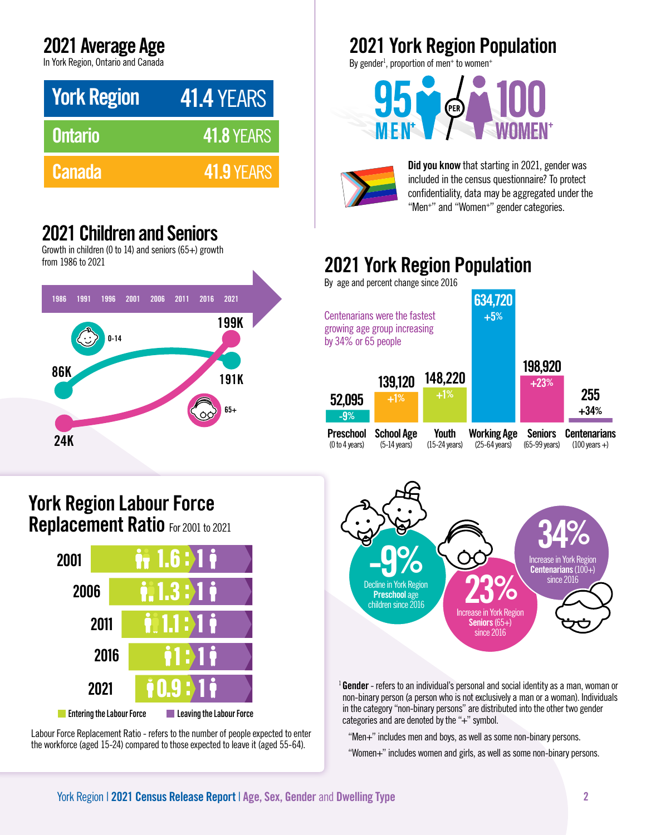## 2021 Average Age

In York Region, Ontario and Canada

| <b>York Region</b> | <b>41.4 YEARS</b> |
|--------------------|-------------------|
| <b>Ontario</b>     | <b>41.8 YEARS</b> |
| <b>Canada</b>      | 41.9 YEARS        |

## 2021 Children and Seniors

Growth in children (0 to 14) and seniors (65+) growth from 1986 to 2021



#### York Region Labour Force Replacement Ratio For 2001 to 2021



Labour Force Replacement Ratio - refers to the number of people expected to enter the workforce (aged 15-24) compared to those expected to leave it (aged 55-64).

# 2021 York Region Population

By gender<sup>1</sup>, proportion of men+ to women+





Did you know that starting in 2021, gender was included in the census questionnaire? To protect confidentiality, data may be aggregated under the "Men<sup>+</sup>" and "Women<sup>+</sup>" gender categories.

# 2021 York Region Population

By age and percent change since 2016

| by $34\%$ or 65 people | Centenarians were the fastest<br>growing age group increasing |                         | 634,720<br>$+5%$        |                |                         |
|------------------------|---------------------------------------------------------------|-------------------------|-------------------------|----------------|-------------------------|
| 52,095                 | 139,120                                                       | 148,220                 |                         | 198,920        | 255                     |
| $-9%$                  | $+1%$                                                         | $+1%$                   |                         | $+23%$         | $+34%$                  |
| <b>Preschool</b>       | <b>School Age</b>                                             | Youth                   | <b>Working Age</b>      | <b>Seniors</b> | <b>Centenarians</b>     |
| (0 to 4 years)         | $(5-14 \text{ years})$                                        | $(15-24 \text{ years})$ | $(25-64 \text{ years})$ | (65-99 years)  | $(100 \text{ years} +)$ |



 $1$  Gender - refers to an individual's personal and social identity as a man, woman or non-binary person (a person who is not exclusively a man or a woman). Individuals in the category "non-binary persons" are distributed into the other two gender categories and are denoted by the "+" symbol.

"Men+" includes men and boys, as well as some non-binary persons.

"Women+" includes women and girls, as well as some non-binary persons.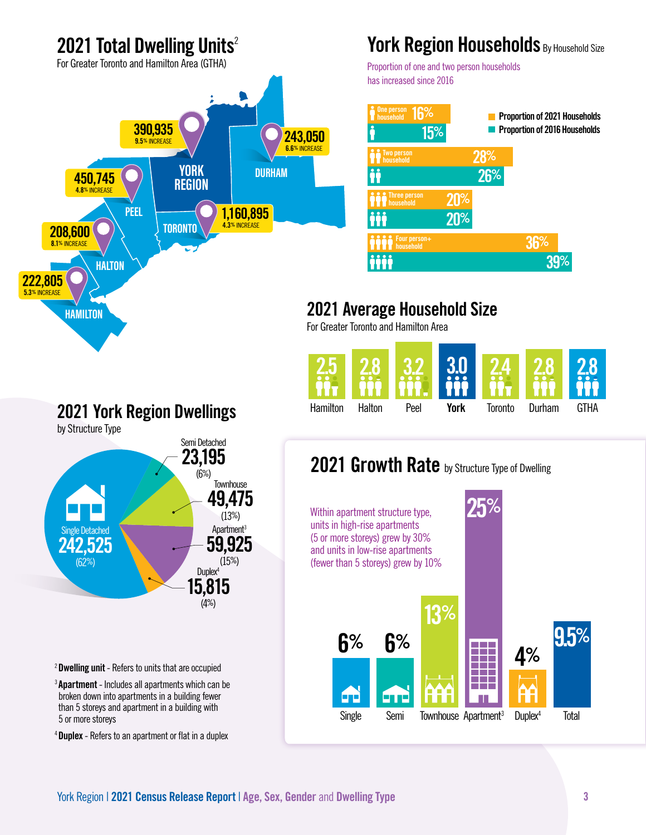## 2021 Total Dwelling Units<sup>2</sup>

For Greater Toronto and Hamilton Area (GTHA)



## York Region Households By Household Size

Proportion of one and two person households has increased since 2016



## 2021 Average Household Size

For Greater Toronto and Hamilton Area



### 2021 York Region Dwellings

by Structure Type



#### 2021 Growth Rate by Structure Type of Dwelling



<sup>2</sup>Dwelling unit - Refers to units that are occupied

<sup>3</sup> Apartment - Includes all apartments which can be broken down into apartments in a building fewer than 5 storeys and apartment in a building with 5 or more storeys

4 Duplex - Refers to an apartment or flat in a duplex